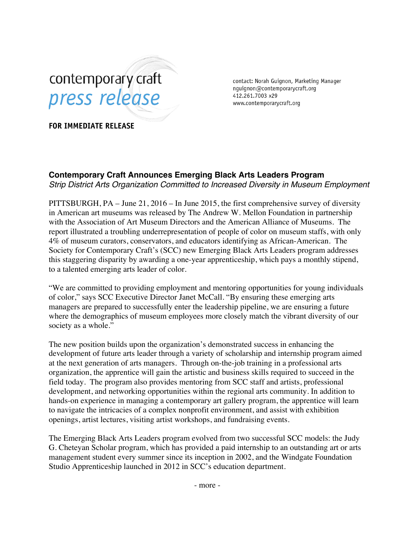

contact: Norah Guignon, Marketing Manager nguignon@contemporarycraft.org 412.261.7003 x29 www.contemporarycraft.org

**FOR IMMEDIATE RELEASE**

## **Contemporary Craft Announces Emerging Black Arts Leaders Program** *Strip District Arts Organization Committed to Increased Diversity in Museum Employment*

PITTSBURGH, PA – June 21, 2016 – In June 2015, the first comprehensive survey of diversity in American art museums was released by The Andrew W. Mellon Foundation in partnership with the Association of Art Museum Directors and the American Alliance of Museums. The report illustrated a troubling underrepresentation of people of color on museum staffs, with only 4% of museum curators, conservators, and educators identifying as African-American. The Society for Contemporary Craft's (SCC) new Emerging Black Arts Leaders program addresses this staggering disparity by awarding a one-year apprenticeship, which pays a monthly stipend, to a talented emerging arts leader of color.

"We are committed to providing employment and mentoring opportunities for young individuals of color," says SCC Executive Director Janet McCall. "By ensuring these emerging arts managers are prepared to successfully enter the leadership pipeline, we are ensuring a future where the demographics of museum employees more closely match the vibrant diversity of our society as a whole."

The new position builds upon the organization's demonstrated success in enhancing the development of future arts leader through a variety of scholarship and internship program aimed at the next generation of arts managers. Through on-the-job training in a professional arts organization, the apprentice will gain the artistic and business skills required to succeed in the field today. The program also provides mentoring from SCC staff and artists, professional development, and networking opportunities within the regional arts community. In addition to hands-on experience in managing a contemporary art gallery program, the apprentice will learn to navigate the intricacies of a complex nonprofit environment, and assist with exhibition openings, artist lectures, visiting artist workshops, and fundraising events.

The Emerging Black Arts Leaders program evolved from two successful SCC models: the Judy G. Cheteyan Scholar program, which has provided a paid internship to an outstanding art or arts management student every summer since its inception in 2002, and the Windgate Foundation Studio Apprenticeship launched in 2012 in SCC's education department.